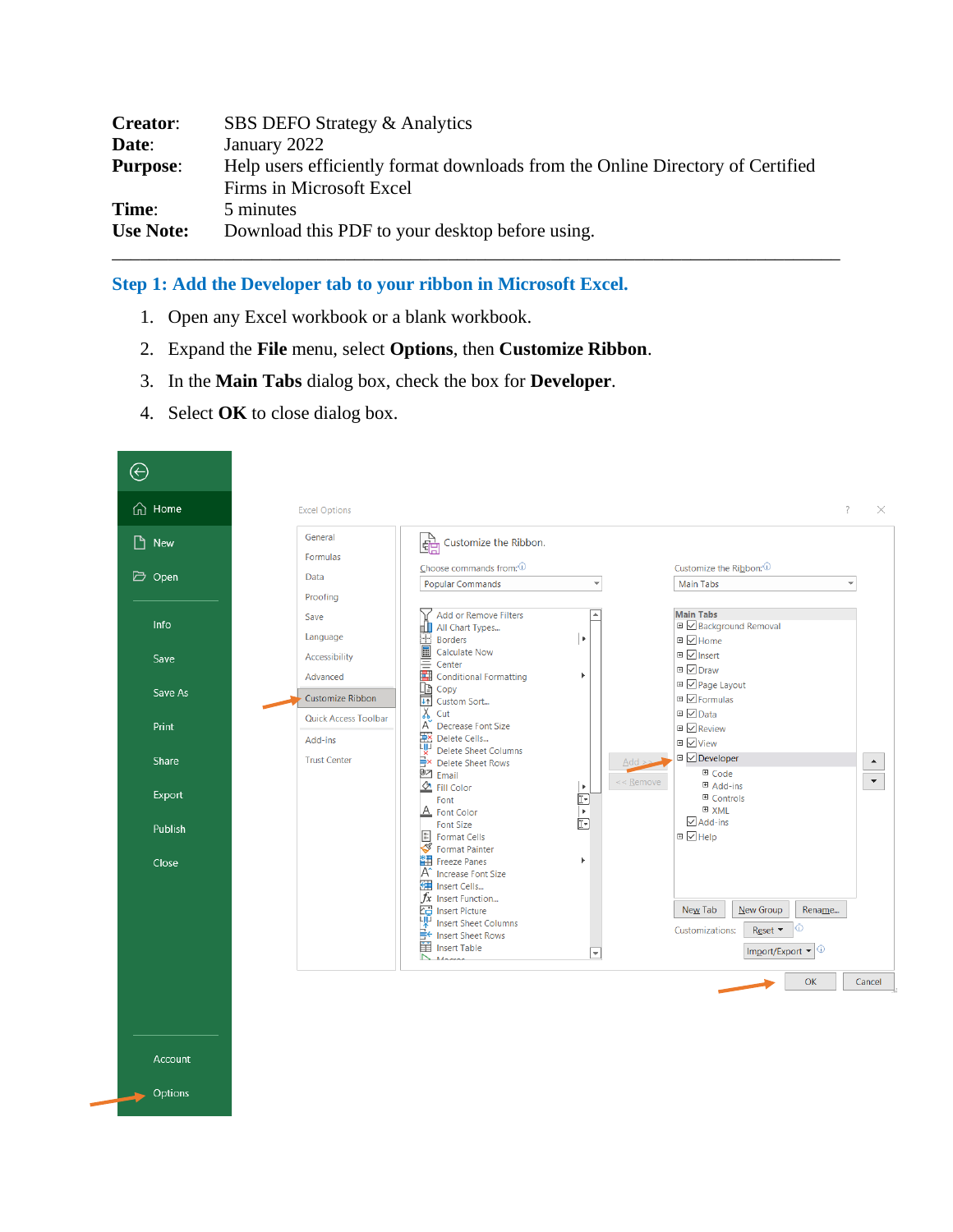| <b>Creator:</b>  | SBS DEFO Strategy & Analytics                                                  |
|------------------|--------------------------------------------------------------------------------|
| Date:            | January 2022                                                                   |
| <b>Purpose:</b>  | Help users efficiently format downloads from the Online Directory of Certified |
|                  | Firms in Microsoft Excel                                                       |
| Time:            | 5 minutes                                                                      |
| <b>Use Note:</b> | Download this PDF to your desktop before using.                                |
|                  |                                                                                |

### **Step 1: Add the Developer tab to your ribbon in Microsoft Excel.**

- 1. Open any Excel workbook or a blank workbook.
- 2. Expand the **File** menu, select **Options**, then **Customize Ribbon**.
- 3. In the **Main Tabs** dialog box, check the box for **Developer**.
- 4. Select **OK** to close dialog box.

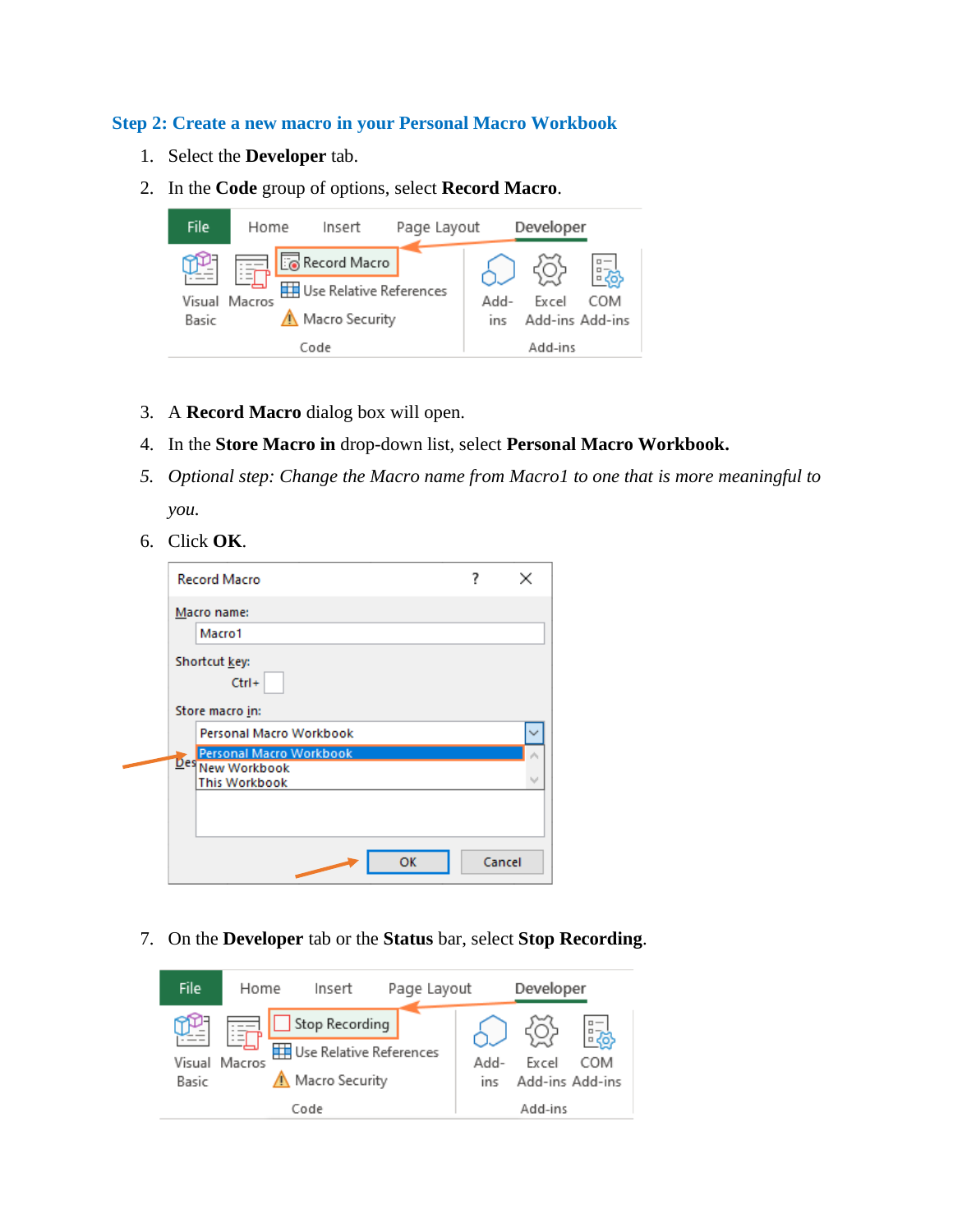### **Step 2: Create a new macro in your Personal Macro Workbook**

- 1. Select the **Developer** tab.
- 2. In the **Code** group of options, select **Record Macro**.



- 3. A **Record Macro** dialog box will open.
- 4. In the **Store Macro in** drop-down list, select **Personal Macro Workbook.**
- *5. Optional step: Change the Macro name from Macro1 to one that is more meaningful to you.*
- 6. Click **OK**.

۵

|                 | <b>Record Macro</b>                                |        | × |
|-----------------|----------------------------------------------------|--------|---|
|                 | Macro name:                                        |        |   |
|                 | Macro1                                             |        |   |
|                 | Shortcut key:<br>$Ctrl +$                          |        |   |
| Store macro in: |                                                    |        |   |
|                 | Personal Macro Workbook                            |        |   |
|                 | <b>Personal Macro Workbook</b><br>Des New Workbook |        |   |
|                 | <b>This Workbook</b>                               |        |   |
|                 |                                                    |        |   |
|                 |                                                    |        |   |
|                 | <b>OK</b>                                          | Cancel |   |
|                 |                                                    |        |   |

7. On the **Developer** tab or the **Status** bar, select **Stop Recording**.

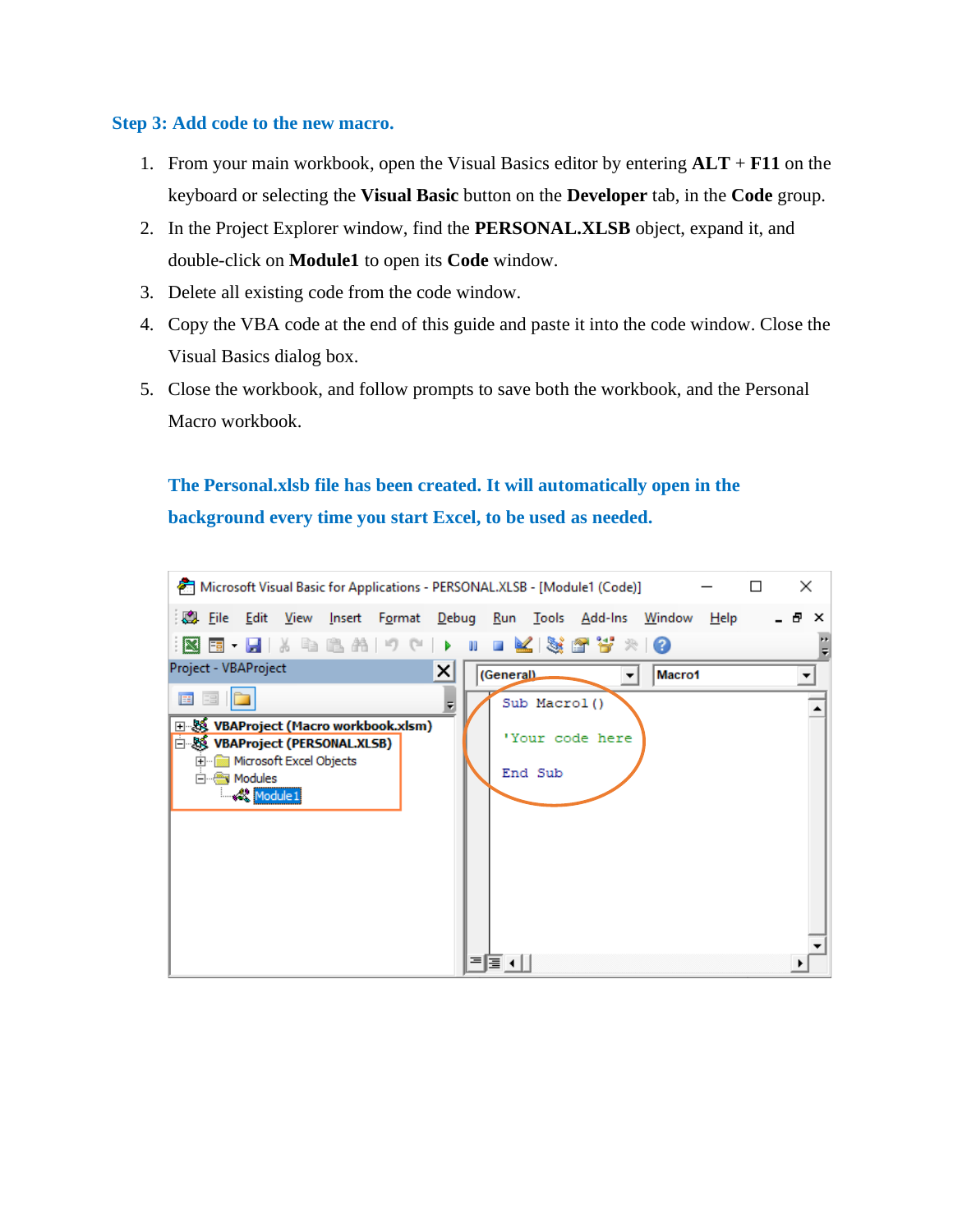### **Step 3: Add code to the new macro.**

- 1. From your main workbook, open the Visual Basics editor by entering **ALT** + **F11** on the keyboard or selecting the **Visual Basic** button on the **Developer** tab, in the **Code** group.
- 2. In the Project Explorer window, find the **PERSONAL.XLSB** object, expand it, and double-click on **Module1** to open its **Code** window.
- 3. Delete all existing code from the code window.
- 4. Copy the VBA code at the end of this guide and paste it into the code window. Close the Visual Basics dialog box.
- 5. Close the workbook, and follow prompts to save both the workbook, and the Personal Macro workbook.

# **The Personal.xlsb file has been created. It will automatically open in the background every time you start Excel, to be used as needed.**

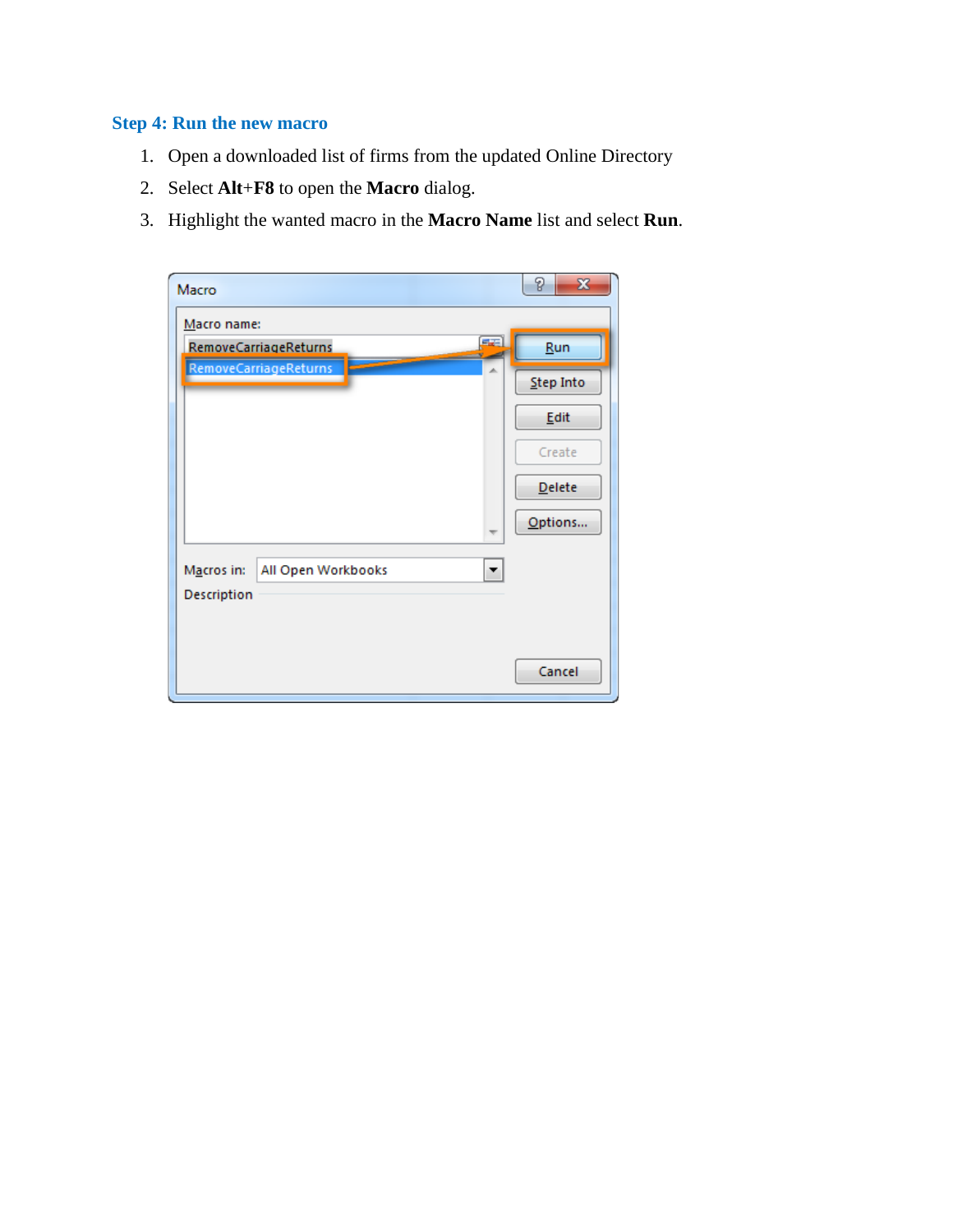## **Step 4: Run the new macro**

- 1. Open a downloaded list of firms from the updated Online Directory
- 2. Select **Alt**+**F8** to open the **Macro** dialog.
- 3. Highlight the wanted macro in the **Macro Name** list and select **Run**.

| Macro                            | P<br>$\mathbf{x}$ |
|----------------------------------|-------------------|
| Macro name:                      |                   |
| æ<br>RemoveCarriageReturns       | Run               |
| RemoveCarriageReturns            | Step Into         |
|                                  | Edit              |
|                                  | Create            |
|                                  | <b>Delete</b>     |
| ₩                                | Options           |
| All Open Workbooks<br>Macros in: |                   |
| Description                      |                   |
|                                  | Cancel            |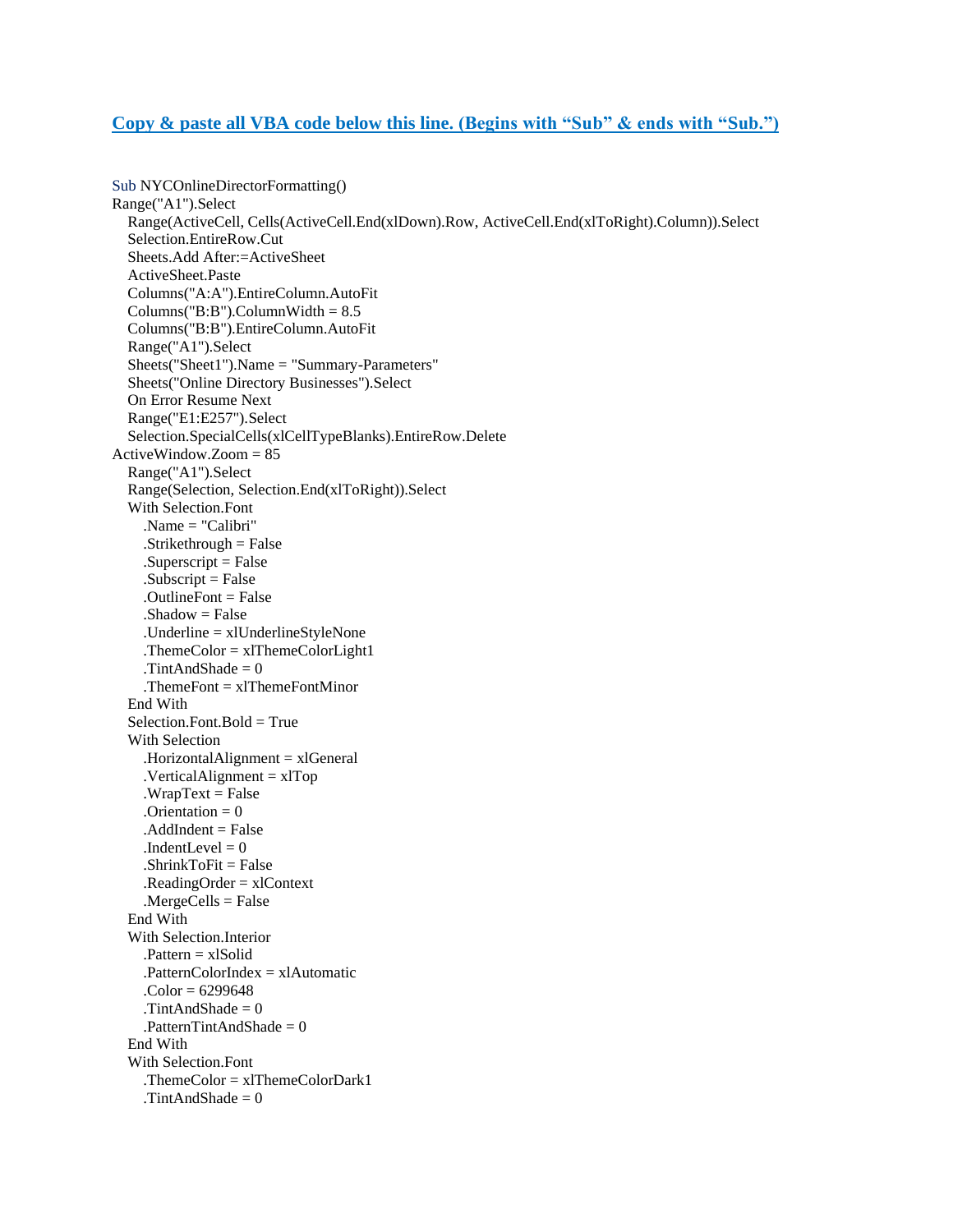#### **Copy & paste all VBA code below this line. (Begins with "Sub" & ends with "Sub.")**

Sub NYCOnlineDirectorFormatting() Range("A1").Select Range(ActiveCell, Cells(ActiveCell.End(xlDown).Row, ActiveCell.End(xlToRight).Column)).Select Selection.EntireRow.Cut Sheets.Add After:=ActiveSheet ActiveSheet.Paste Columns("A:A").EntireColumn.AutoFit  $Columns("B:B")$ . $ColumnWidth = 8.5$  Columns("B:B").EntireColumn.AutoFit Range("A1").Select Sheets("Sheet1").Name = "Summary-Parameters" Sheets("Online Directory Businesses").Select On Error Resume Next Range("E1:E257").Select Selection.SpecialCells(xlCellTypeBlanks).EntireRow.Delete ActiveWindow.Zoom = 85 Range("A1").Select Range(Selection, Selection.End(xlToRight)).Select With Selection.Font .Name = "Calibri"  $.$ Strikethrough = False  $Superscript = False$  $Subscript = False$  $.$ OutlineFont  $=$  False  $.$ Shadow  $=$  False .Underline = xlUnderlineStyleNone .ThemeColor = xlThemeColorLight1 .TintAndShade = 0 .ThemeFont  $= xIT$ hemeFontMinor End With  $Selection.Font.Bold = True$  With Selection .HorizontalAlignment = xlGeneral  $VerticalAlignment = xlTop$  $WrapText = False$  $.$ Orientation = 0  $. AddIndent = False$ .IndentLevel  $= 0$  .ShrinkToFit = False  $. ReadingOrder = x1Context$  $MergeCells = False$  End With With Selection.Interior  $P$ attern = xlSolid .PatternColorIndex = xlAutomatic . $Color = 6299648$ .TintAndShade  $= 0$  $P$ atternTintAndShade = 0 End With With Selection.Font .ThemeColor = xlThemeColorDark1 .TintAndShade  $= 0$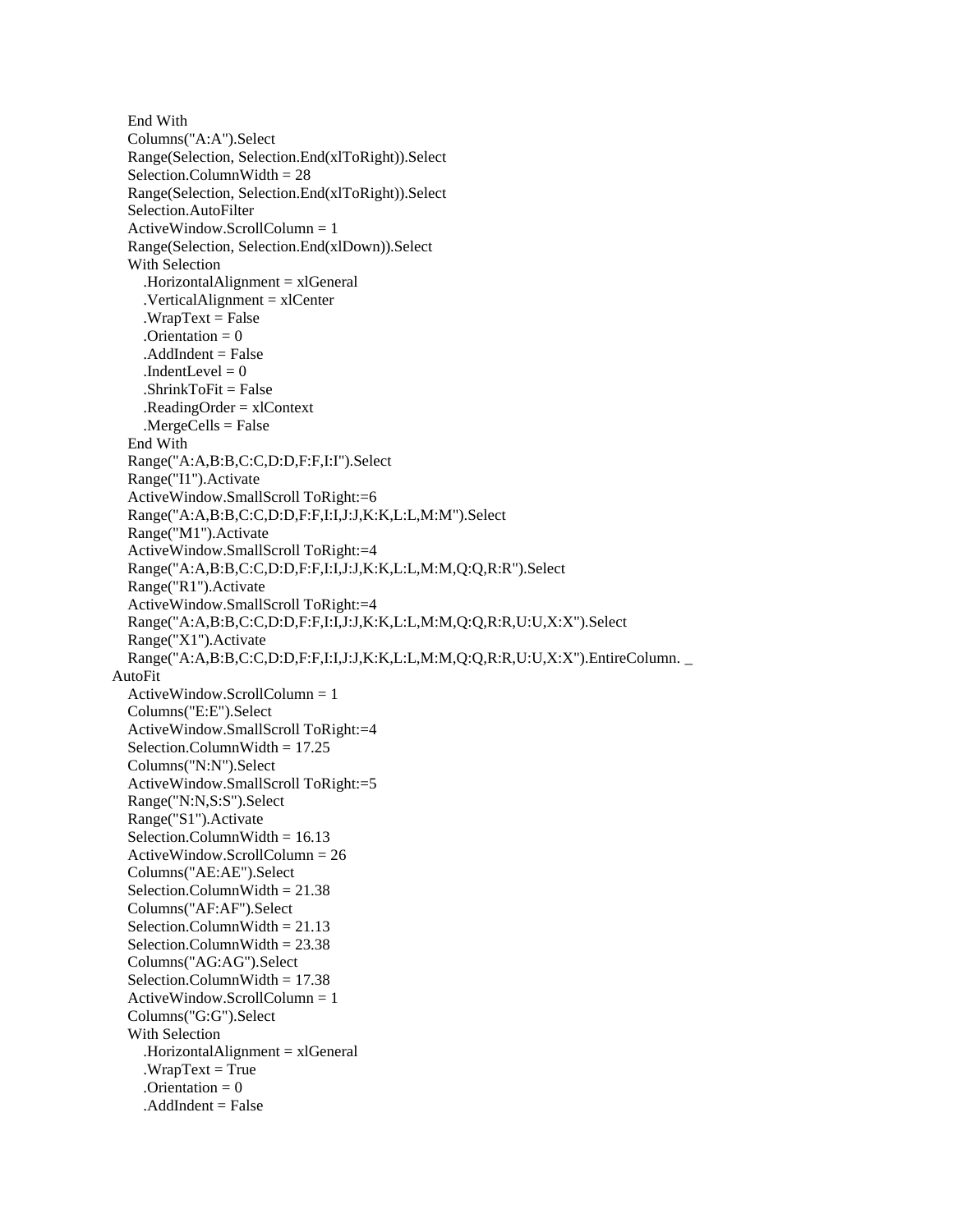End With Columns("A:A").Select Range(Selection, Selection.End(xlToRight)).Select  $Selection. ColumnWidth = 28$  Range(Selection, Selection.End(xlToRight)).Select Selection.AutoFilter ActiveWindow.ScrollColumn = 1 Range(Selection, Selection.End(xlDown)).Select With Selection .HorizontalAlignment = xlGeneral .VerticalAlignment = xlCenter  $WrapText = False$  $.$ Orientation = 0  $.$ AddIndent  $=$  False .IndentLevel  $= 0$  $.ShrinkToFit = False$  $. ReadingOrder = xIContext$  .MergeCells = False End With Range("A:A,B:B,C:C,D:D,F:F,I:I").Select Range("I1").Activate ActiveWindow.SmallScroll ToRight:=6 Range("A:A,B:B,C:C,D:D,F:F,I:I,J:J,K:K,L:L,M:M").Select Range("M1").Activate ActiveWindow.SmallScroll ToRight:=4 Range("A:A,B:B,C:C,D:D,F:F,I:I,J:J,K:K,L:L,M:M,Q:Q,R:R").Select Range("R1").Activate ActiveWindow.SmallScroll ToRight:=4 Range("A:A,B:B,C:C,D:D,F:F,I:I,J:J,K:K,L:L,M:M,Q:Q,R:R,U:U,X:X").Select Range("X1").Activate Range("A:A,B:B,C:C,D:D,F:F,I:I,J:J,K:K,L:L,M:M,Q:Q,R:R,U:U,X:X").EntireColumn. \_ AutoFit ActiveWindow.ScrollColumn = 1 Columns("E:E").Select ActiveWindow.SmallScroll ToRight:=4 Selection.ColumnWidth  $= 17.25$  Columns("N:N").Select ActiveWindow.SmallScroll ToRight:=5 Range("N:N,S:S").Select Range("S1").Activate Selection.ColumnWidth =  $16.13$  ActiveWindow.ScrollColumn = 26 Columns("AE:AE").Select Selection.ColumnWidth = 21.38 Columns("AF:AF").Select Selection.ColumnWidth  $= 21.13$ Selection.ColumnWidth  $= 23.38$  Columns("AG:AG").Select Selection.ColumnWidth = 17.38  $ActiveWindow.ScrolIColumn = 1$  Columns("G:G").Select With Selection .HorizontalAlignment = xlGeneral  $WrapText = True$  $.$ Orientation = 0  $.$ AddIndent = False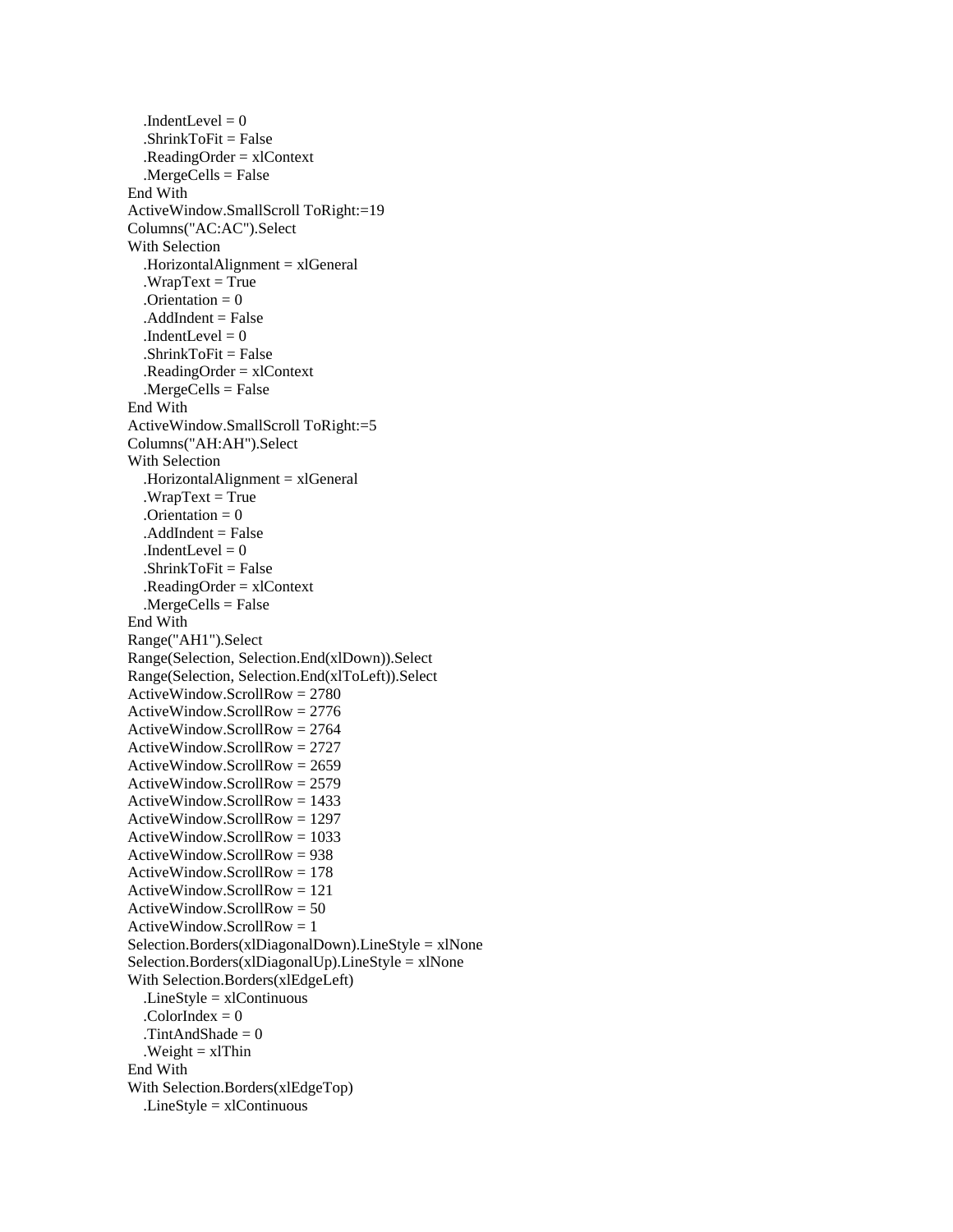.IndentLevel  $= 0$  $.ShrinkToFit = False$  $. ReadingOrder = xIContext$  $MergeCells = False$  End With ActiveWindow.SmallScroll ToRight:=19 Columns("AC:AC").Select With Selection .HorizontalAlignment = xlGeneral  $WrapText = True$  $.$ Orientation = 0  $. AddIndent = False$ .IndentLevel  $= 0$  $.ShrinkToFit = False$  $. ReadingOrder = xIContext$  $MereCells = False$  End With ActiveWindow.SmallScroll ToRight:=5 Columns("AH:AH").Select With Selection .HorizontalAlignment = xlGeneral  $WrapText = True$  $.$ Orientation = 0  $. AddIndent = False$  $.$ IndentLevel = 0  $.ShrinkToFit = False$  $. ReadingOrder = x1Context$  $MereeCells = False$  End With Range("AH1").Select Range(Selection, Selection.End(xlDown)).Select Range(Selection, Selection.End(xlToLeft)).Select ActiveWindow.ScrollRow = 2780 ActiveWindow.ScrollRow = 2776 ActiveWindow.ScrollRow = 2764 ActiveWindow.ScrollRow = 2727 ActiveWindow.ScrollRow = 2659 ActiveWindow.ScrollRow = 2579 ActiveWindow.ScrollRow = 1433 ActiveWindow.ScrollRow = 1297 ActiveWindow.ScrollRow = 1033 ActiveWindow.ScrollRow = 938 ActiveWindow.ScrollRow = 178 ActiveWindow.ScrollRow = 121 ActiveWindow.ScrollRow = 50  $ActiveWindow.ScrollRow = 1$  $Selection. Borders(xlDiagonalDown). LineStyle = xlNone$  $Selection.Borders(xlDiagonalUp).LineStyle = xlNone$  With Selection.Borders(xlEdgeLeft)  $LineStyle = xIContinuous$ .ColorIndex  $= 0$  .TintAndShade = 0  $Weight = xIThin$  End With With Selection.Borders(xlEdgeTop) .LineStyle = xlContinuous